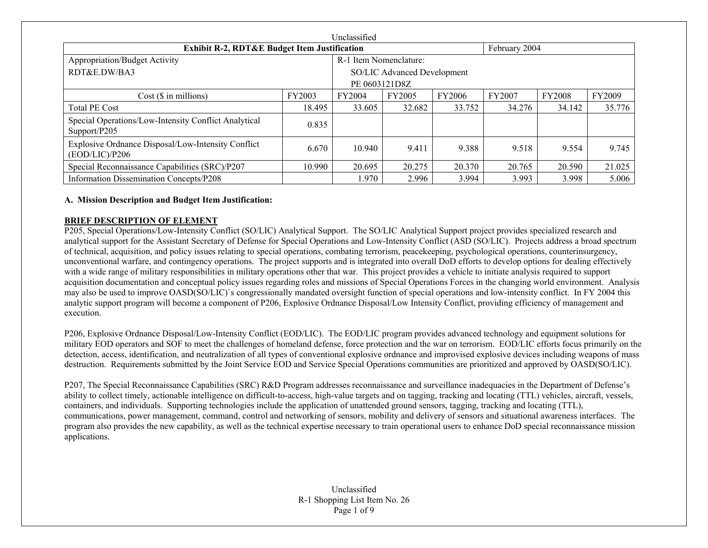| Unclassified                                                         |        |                             |        |        |        |               |        |  |  |
|----------------------------------------------------------------------|--------|-----------------------------|--------|--------|--------|---------------|--------|--|--|
| <b>Exhibit R-2, RDT&amp;E Budget Item Justification</b>              |        |                             |        |        |        | February 2004 |        |  |  |
| Appropriation/Budget Activity                                        |        | R-1 Item Nomenclature:      |        |        |        |               |        |  |  |
| RDT&E.DW/BA3                                                         |        | SO/LIC Advanced Development |        |        |        |               |        |  |  |
|                                                                      |        | PE 0603121D8Z               |        |        |        |               |        |  |  |
| $Cost$ ( $\$\$ in millions)                                          | FY2003 | FY2004                      | FY2005 | FY2006 | FY2007 | <b>FY2008</b> | FY2009 |  |  |
| <b>Total PE Cost</b>                                                 | 18.495 | 33.605                      | 32.682 | 33.752 | 34.276 | 34.142        | 35.776 |  |  |
| Special Operations/Low-Intensity Conflict Analytical<br>Support/P205 | 0.835  |                             |        |        |        |               |        |  |  |
| Explosive Ordnance Disposal/Low-Intensity Conflict<br>(EOD/LIC)/P206 | 6.670  | 10.940                      | 9.411  | 9.388  | 9.518  | 9.554         | 9.745  |  |  |
| Special Reconnaissance Capabilities (SRC)/P207                       | 10.990 | 20.695                      | 20.275 | 20.370 | 20.765 | 20.590        | 21.025 |  |  |
| Information Dissemination Concepts/P208                              |        | 1.970                       | 2.996  | 3.994  | 3.993  | 3.998         | 5.006  |  |  |

## **A. Mission Description and Budget Item Justification:**

#### **BRIEF DESCRIPTION OF ELEMENT**

P205, Special Operations/Low-Intensity Conflict (SO/LIC) Analytical Support. The SO/LIC Analytical Support project provides specialized research and analytical support for the Assistant Secretary of Defense for Special Operations and Low-Intensity Conflict (ASD (SO/LIC). Projects address a broad spectrum of technical, acquisition, and policy issues relating to special operations, combating terrorism, peacekeeping, psychological operations, counterinsurgency, unconventional warfare, and contingency operations. The project supports and is integrated into overall DoD efforts to develop options for dealing effectively with a wide range of military responsibilities in military operations other that war. This project provides a vehicle to initiate analysis required to support acquisition documentation and conceptual policy issues regarding roles and missions of Special Operations Forces in the changing world environment. Analysis may also be used to improve OASD(SO/LIC)`s congressionally mandated oversight function of special operations and low-intensity conflict. In FY 2004 this analytic support program will become a component of P206, Explosive Ordnance Disposal/Low Intensity Conflict, providing efficiency of management and execution.

P206, Explosive Ordnance Disposal/Low-Intensity Conflict (EOD/LIC). The EOD/LIC program provides advanced technology and equipment solutions for military EOD operators and SOF to meet the challenges of homeland defense, force protection and the war on terrorism. EOD/LIC efforts focus primarily on the detection, access, identification, and neutralization of all types of conventional explosive ordnance and improvised explosive devices including weapons of mass destruction. Requirements submitted by the Joint Service EOD and Service Special Operations communities are prioritized and approved by OASD(SO/LIC).

P207, The Special Reconnaissance Capabilities (SRC) R&D Program addresses reconnaissance and surveillance inadequacies in the Department of Defense's ability to collect timely, actionable intelligence on difficult-to-access, high-value targets and on tagging, tracking and locating (TTL) vehicles, aircraft, vessels, containers, and individuals. Supporting technologies include the application of unattended ground sensors, tagging, tracking and locating (TTL), communications, power management, command, control and networking of sensors, mobility and delivery of sensors and situational awareness interfaces. The program also provides the new capability, as well as the technical expertise necessary to train operational users to enhance DoD special reconnaissance mission applications.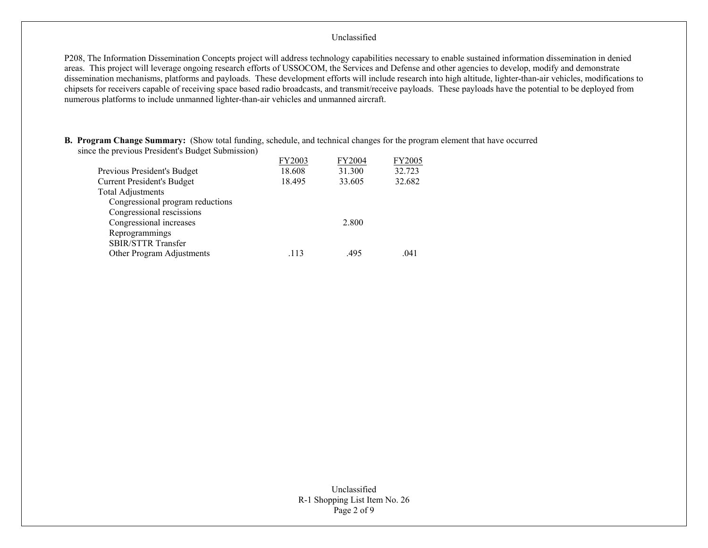P208, The Information Dissemination Concepts project will address technology capabilities necessary to enable sustained information dissemination in denied areas. This project will leverage ongoing research efforts of USSOCOM, the Services and Defense and other agencies to develop, modify and demonstrate dissemination mechanisms, platforms and payloads. These development efforts will include research into high altitude, lighter-than-air vehicles, modifications to chipsets for receivers capable of receiving space based radio broadcasts, and transmit/receive payloads. These payloads have the potential to be deployed from numerous platforms to include unmanned lighter-than-air vehicles and unmanned aircraft.

**B. Program Change Summary:** (Show total funding, schedule, and technical changes for the program element that have occurred since the previous President's Budget Submission)

|                                   | FY2003 | FY2004 | <b>FY2005</b> |
|-----------------------------------|--------|--------|---------------|
| Previous President's Budget       | 18.608 | 31.300 | 32.723        |
| <b>Current President's Budget</b> | 18.495 | 33.605 | 32.682        |
| <b>Total Adjustments</b>          |        |        |               |
| Congressional program reductions  |        |        |               |
| Congressional rescissions         |        |        |               |
| Congressional increases           |        | 2.800  |               |
| Reprogrammings                    |        |        |               |
| <b>SBIR/STTR Transfer</b>         |        |        |               |
| Other Program Adjustments         | .113   | .495   | .041          |
|                                   |        |        |               |

Unclassified R-1 Shopping List Item No. 26 Page 2 of 9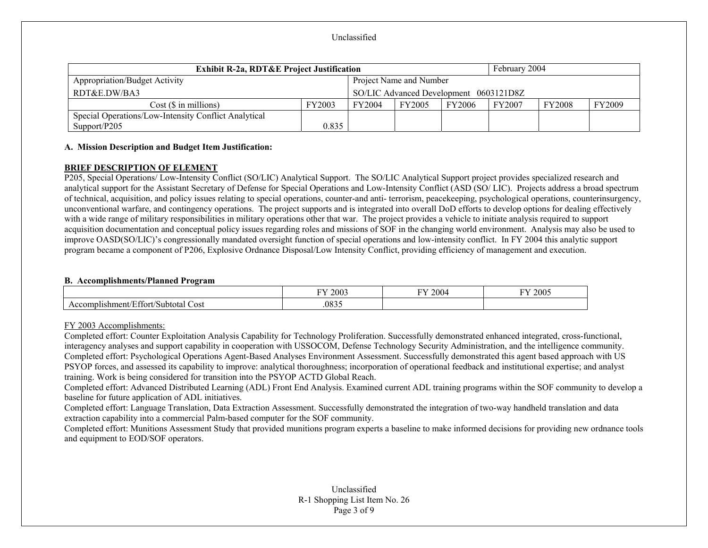| <b>Exhibit R-2a, RDT&amp;E Project Justification</b> |        |               | February 2004           |                                        |               |               |        |
|------------------------------------------------------|--------|---------------|-------------------------|----------------------------------------|---------------|---------------|--------|
| Appropriation/Budget Activity                        |        |               | Project Name and Number |                                        |               |               |        |
| RDT&E.DW/BA3                                         |        |               |                         | SO/LIC Advanced Development 0603121D8Z |               |               |        |
| $Cost(S \in \text{millions})$                        | FY2003 | <b>FY2004</b> | FY2005                  | FY2006                                 | <b>FY2007</b> | <b>FY2008</b> | FY2009 |
| Special Operations/Low-Intensity Conflict Analytical |        |               |                         |                                        |               |               |        |
| Support/P205                                         | 0.835  |               |                         |                                        |               |               |        |

## **A. Mission Description and Budget Item Justification:**

## **BRIEF DESCRIPTION OF ELEMENT**

P205, Special Operations/ Low-Intensity Conflict (SO/LIC) Analytical Support. The SO/LIC Analytical Support project provides specialized research and analytical support for the Assistant Secretary of Defense for Special Operations and Low-Intensity Conflict (ASD (SO/ LIC). Projects address a broad spectrum of technical, acquisition, and policy issues relating to special operations, counter-and anti- terrorism, peacekeeping, psychological operations, counterinsurgency, unconventional warfare, and contingency operations. The project supports and is integrated into overall DoD efforts to develop options for dealing effectively with a wide range of military responsibilities in military operations other that war. The project provides a vehicle to initiate analysis required to support acquisition documentation and conceptual policy issues regarding roles and missions of SOF in the changing world environment. Analysis may also be used to improve OASD(SO/LIC)'s congressionally mandated oversight function of special operations and low-intensity conflict. In FY 2004 this analytic support program became a component of P206, Explosive Ordnance Disposal/Low Intensity Conflict, providing efficiency of management and execution.

#### **B. Accomplishments/Planned Program**

|                                                                     | FY 2003 | 12004<br>FУ. | FY 2005 |
|---------------------------------------------------------------------|---------|--------------|---------|
| $\sim$ 00<br>$\sqrt{2}$<br>Cost<br>shment/<br>Sut<br>าmr.<br>ətotal | .0835   |              |         |

## FY 2003 Accomplishments:

Completed effort: Counter Exploitation Analysis Capability for Technology Proliferation. Successfully demonstrated enhanced integrated, cross-functional, interagency analyses and support capability in cooperation with USSOCOM, Defense Technology Security Administration, and the intelligence community. Completed effort: Psychological Operations Agent-Based Analyses Environment Assessment. Successfully demonstrated this agent based approach with US PSYOP forces, and assessed its capability to improve: analytical thoroughness; incorporation of operational feedback and institutional expertise; and analyst training. Work is being considered for transition into the PSYOP ACTD Global Reach.

Completed effort: Advanced Distributed Learning (ADL) Front End Analysis. Examined current ADL training programs within the SOF community to develop a baseline for future application of ADL initiatives.

Completed effort: Language Translation, Data Extraction Assessment. Successfully demonstrated the integration of two-way handheld translation and data extraction capability into a commercial Palm-based computer for the SOF community.

Completed effort: Munitions Assessment Study that provided munitions program experts a baseline to make informed decisions for providing new ordnance tools and equipment to EOD/SOF operators.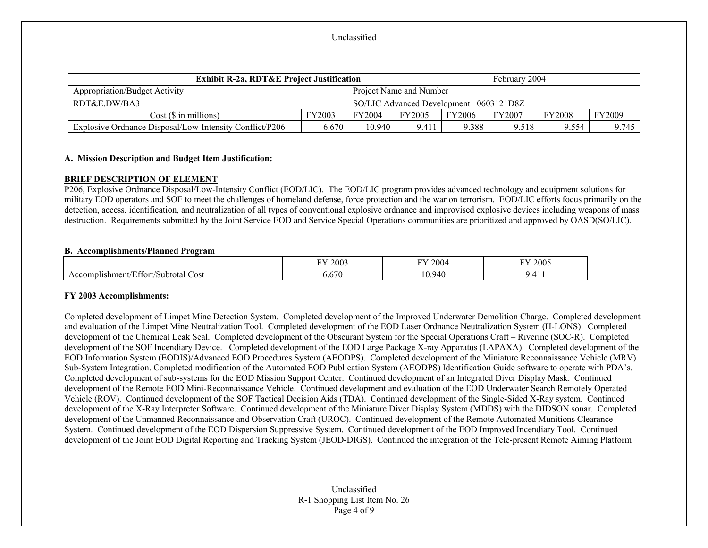| <b>Exhibit R-2a, RDT&amp;E Project Justification</b>    |                                        |        |                         |               | February 2004 |               |        |
|---------------------------------------------------------|----------------------------------------|--------|-------------------------|---------------|---------------|---------------|--------|
| <b>Appropriation/Budget Activity</b>                    |                                        |        | Project Name and Number |               |               |               |        |
| RDT&E.DW/BA3                                            | SO/LIC Advanced Development 0603121D8Z |        |                         |               |               |               |        |
| $Cost$ ( $\$\$ in millions)                             | FY2003                                 | FY2004 | FY2005                  | <b>FY2006</b> | <b>FY2007</b> | <b>FY2008</b> | FY2009 |
| Explosive Ordnance Disposal/Low-Intensity Conflict/P206 | 6.670                                  | 10.940 | 9.411                   | 9.388         | 9.518         | 9.554         | 9.745  |

## **A. Mission Description and Budget Item Justification:**

## **BRIEF DESCRIPTION OF ELEMENT**

P206, Explosive Ordnance Disposal/Low-Intensity Conflict (EOD/LIC). The EOD/LIC program provides advanced technology and equipment solutions for military EOD operators and SOF to meet the challenges of homeland defense, force protection and the war on terrorism. EOD/LIC efforts focus primarily on the detection, access, identification, and neutralization of all types of conventional explosive ordnance and improvised explosive devices including weapons of mass destruction. Requirements submitted by the Joint Service EOD and Service Special Operations communities are prioritized and approved by OASD(SO/LIC).

## **B. Accomplishments/Planned Program**

|                                                   | FY 2003 | FY 2004     | FY 2005 |
|---------------------------------------------------|---------|-------------|---------|
| $\sqrt{2}$<br>Affort/Subtotal<br>Cost<br>'ishmeni | 0.670   | 10.940<br>ν | .       |

## **FY 2003 Accomplishments:**

Completed development of Limpet Mine Detection System. Completed development of the Improved Underwater Demolition Charge. Completed development and evaluation of the Limpet Mine Neutralization Tool. Completed development of the EOD Laser Ordnance Neutralization System (H-LONS). Completed development of the Chemical Leak Seal. Completed development of the Obscurant System for the Special Operations Craft – Riverine (SOC-R). Completed development of the SOF Incendiary Device. Completed development of the EOD Large Package X-ray Apparatus (LAPAXA). Completed development of the EOD Information System (EODIS)/Advanced EOD Procedures System (AEODPS). Completed development of the Miniature Reconnaissance Vehicle (MRV) Sub-System Integration. Completed modification of the Automated EOD Publication System (AEODPS) Identification Guide software to operate with PDA's. Completed development of sub-systems for the EOD Mission Support Center. Continued development of an Integrated Diver Display Mask. Continued development of the Remote EOD Mini-Reconnaissance Vehicle. Continued development and evaluation of the EOD Underwater Search Remotely Operated Vehicle (ROV). Continued development of the SOF Tactical Decision Aids (TDA). Continued development of the Single-Sided X-Ray system. Continued development of the X-Ray Interpreter Software. Continued development of the Miniature Diver Display System (MDDS) with the DIDSON sonar. Completed development of the Unmanned Reconnaissance and Observation Craft (UROC). Continued development of the Remote Automated Munitions Clearance System. Continued development of the EOD Dispersion Suppressive System. Continued development of the EOD Improved Incendiary Tool. Continued development of the Joint EOD Digital Reporting and Tracking System (JEOD-DIGS). Continued the integration of the Tele-present Remote Aiming Platform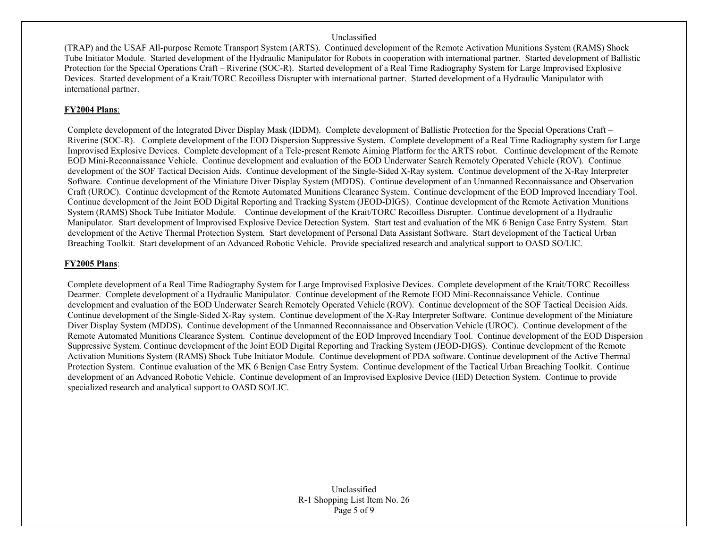(TRAP) and the USAF All-purpose Remote Transport System (ARTS). Continued development of the Remote Activation Munitions System (RAMS) Shock Tube Initiator Module. Started development of the Hydraulic Manipulator for Robots in cooperation with international partner. Started development of Ballistic Protection for the Special Operations Craft – Riverine (SOC-R). Started development of a Real Time Radiography System for Large Improvised Explosive Devices. Started development of a Krait/TORC Recoilless Disrupter with international partner. Started development of a Hydraulic Manipulator with international partner.

## **FY2004 Plans**:

Complete development of the Integrated Diver Display Mask (IDDM). Complete development of Ballistic Protection for the Special Operations Craft – Riverine (SOC-R). Complete development of the EOD Dispersion Suppressive System. Complete development of a Real Time Radiography system for Large Improvised Explosive Devices. Complete development of a Tele-present Remote Aiming Platform for the ARTS robot. Continue development of the Remote EOD Mini-Reconnaissance Vehicle. Continue development and evaluation of the EOD Underwater Search Remotely Operated Vehicle (ROV). Continue development of the SOF Tactical Decision Aids. Continue development of the Single-Sided X-Ray system. Continue development of the X-Ray Interpreter Software. Continue development of the Miniature Diver Display System (MDDS). Continue development of an Unmanned Reconnaissance and Observation Craft (UROC). Continue development of the Remote Automated Munitions Clearance System. Continue development of the EOD Improved Incendiary Tool. Continue development of the Joint EOD Digital Reporting and Tracking System (JEOD-DIGS). Continue development of the Remote Activation Munitions System (RAMS) Shock Tube Initiator Module. Continue development of the Krait/TORC Recoilless Disrupter. Continue development of a Hydraulic Manipulator. Start development of Improvised Explosive Device Detection System. Start test and evaluation of the MK 6 Benign Case Entry System. Start development of the Active Thermal Protection System. Start development of Personal Data Assistant Software. Start development of the Tactical Urban Breaching Toolkit. Start development of an Advanced Robotic Vehicle. Provide specialized research and analytical support to OASD SO/LIC.

## **FY2005 Plans**:

Complete development of a Real Time Radiography System for Large Improvised Explosive Devices. Complete development of the Krait/TORC Recoilless Dearmer. Complete development of a Hydraulic Manipulator. Continue development of the Remote EOD Mini-Reconnaissance Vehicle. Continue development and evaluation of the EOD Underwater Search Remotely Operated Vehicle (ROV). Continue development of the SOF Tactical Decision Aids. Continue development of the Single-Sided X-Ray system. Continue development of the X-Ray Interpreter Software. Continue development of the Miniature Diver Display System (MDDS). Continue development of the Unmanned Reconnaissance and Observation Vehicle (UROC). Continue development of the Remote Automated Munitions Clearance System. Continue development of the EOD Improved Incendiary Tool. Continue development of the EOD Dispersion Suppressive System. Continue development of the Joint EOD Digital Reporting and Tracking System (JEOD-DIGS). Continue development of the Remote Activation Munitions System (RAMS) Shock Tube Initiator Module. Continue development of PDA software. Continue development of the Active Thermal Protection System. Continue evaluation of the MK 6 Benign Case Entry System. Continue development of the Tactical Urban Breaching Toolkit. Continue development of an Advanced Robotic Vehicle. Continue development of an Improvised Explosive Device (IED) Detection System. Continue to provide specialized research and analytical support to OASD SO/LIC.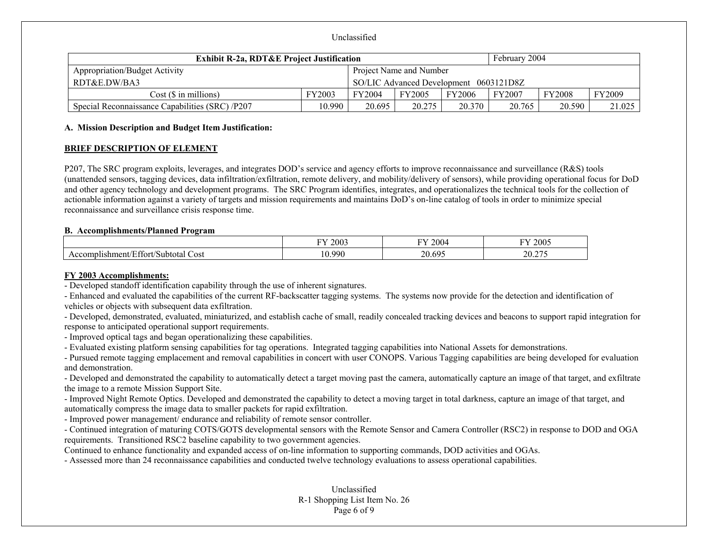| <b>Exhibit R-2a, RDT&amp;E Project Justification</b> |               |                                        |                         |               | February 2004 |               |               |
|------------------------------------------------------|---------------|----------------------------------------|-------------------------|---------------|---------------|---------------|---------------|
| <b>Appropriation/Budget Activity</b>                 |               |                                        | Project Name and Number |               |               |               |               |
| RDT&E.DW/BA3                                         |               | SO/LIC Advanced Development 0603121D8Z |                         |               |               |               |               |
| Cost(S in millions)                                  | <b>FY2003</b> | FY2004                                 | <b>FY2005</b>           | <b>FY2006</b> | FY2007        | <b>FY2008</b> | <b>FY2009</b> |
| Special Reconnaissance Capabilities (SRC) /P207      | 10.990        | 20.695                                 | 20.275                  | 20.370        | 20.765        | 20.590        | 21.025        |

#### **A. Mission Description and Budget Item Justification:**

#### **BRIEF DESCRIPTION OF ELEMENT**

P207, The SRC program exploits, leverages, and integrates DOD's service and agency efforts to improve reconnaissance and surveillance (R&S) tools (unattended sensors, tagging devices, data infiltration/exfiltration, remote delivery, and mobility/delivery of sensors), while providing operational focus for DoD and other agency technology and development programs. The SRC Program identifies, integrates, and operationalizes the technical tools for the collection of actionable information against a variety of targets and mission requirements and maintains DoD's on-line catalog of tools in order to minimize special reconnaissance and surveillance crisis response time.

#### **B. Accomplishments/Planned Program**

|                                                                                | FY 2003              | $\Gamma$<br>2004 | 2005<br>ГV.                                             |
|--------------------------------------------------------------------------------|----------------------|------------------|---------------------------------------------------------|
| $\sqrt{2}$<br>$\sim$<br>Cost<br>'Effort/Subtotal<br>$\sim$ ushment $\sim$<br>∸ | .990<br>$\sim$<br>U. | nΛ<br>. 604<br>້ | $\sim$ $\sim$ $\sim$<br>$\mathcal{D}$<br>$\angle 0.21.$ |

## **FY 2003 Accomplishments:**

- Developed standoff identification capability through the use of inherent signatures.

- Enhanced and evaluated the capabilities of the current RF-backscatter tagging systems. The systems now provide for the detection and identification of vehicles or objects with subsequent data exfiltration.

- Developed, demonstrated, evaluated, miniaturized, and establish cache of small, readily concealed tracking devices and beacons to support rapid integration for response to anticipated operational support requirements.

- Improved optical tags and began operationalizing these capabilities.

- Evaluated existing platform sensing capabilities for tag operations. Integrated tagging capabilities into National Assets for demonstrations.

- Pursued remote tagging emplacement and removal capabilities in concert with user CONOPS. Various Tagging capabilities are being developed for evaluation and demonstration.

- Developed and demonstrated the capability to automatically detect a target moving past the camera, automatically capture an image of that target, and exfiltrate the image to a remote Mission Support Site.

- Improved Night Remote Optics. Developed and demonstrated the capability to detect a moving target in total darkness, capture an image of that target, and automatically compress the image data to smaller packets for rapid exfiltration.

- Improved power management/ endurance and reliability of remote sensor controller.

- Continued integration of maturing COTS/GOTS developmental sensors with the Remote Sensor and Camera Controller (RSC2) in response to DOD and OGA requirements. Transitioned RSC2 baseline capability to two government agencies.

Continued to enhance functionality and expanded access of on-line information to supporting commands, DOD activities and OGAs.

- Assessed more than 24 reconnaissance capabilities and conducted twelve technology evaluations to assess operational capabilities.

## Unclassified R-1 Shopping List Item No. 26 Page 6 of 9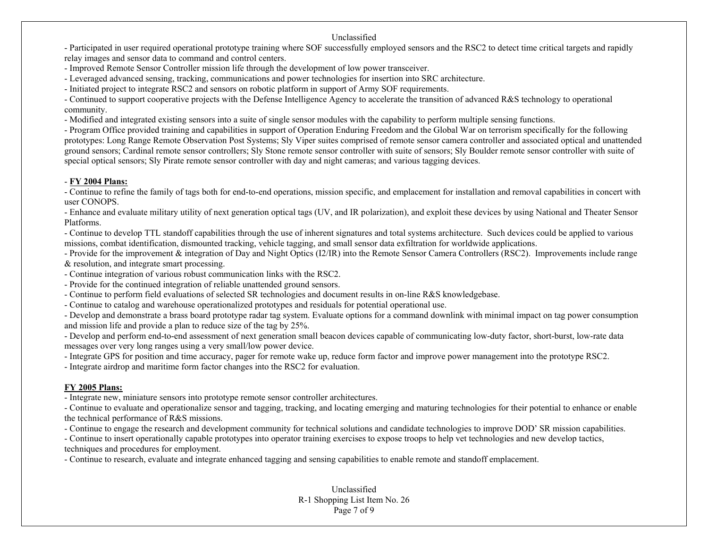- Participated in user required operational prototype training where SOF successfully employed sensors and the RSC2 to detect time critical targets and rapidly relay images and sensor data to command and control centers.

- Improved Remote Sensor Controller mission life through the development of low power transceiver.

- Leveraged advanced sensing, tracking, communications and power technologies for insertion into SRC architecture.

- Initiated project to integrate RSC2 and sensors on robotic platform in support of Army SOF requirements.

- Continued to support cooperative projects with the Defense Intelligence Agency to accelerate the transition of advanced R&S technology to operational community.

- Modified and integrated existing sensors into a suite of single sensor modules with the capability to perform multiple sensing functions.

- Program Office provided training and capabilities in support of Operation Enduring Freedom and the Global War on terrorism specifically for the following prototypes: Long Range Remote Observation Post Systems; Sly Viper suites comprised of remote sensor camera controller and associated optical and unattended ground sensors; Cardinal remote sensor controllers; Sly Stone remote sensor controller with suite of sensors; Sly Boulder remote sensor controller with suite of special optical sensors; Sly Pirate remote sensor controller with day and night cameras; and various tagging devices.

## - **FY 2004 Plans:**

- Continue to refine the family of tags both for end-to-end operations, mission specific, and emplacement for installation and removal capabilities in concert with user CONOPS.

- Enhance and evaluate military utility of next generation optical tags (UV, and IR polarization), and exploit these devices by using National and Theater Sensor Platforms.

- Continue to develop TTL standoff capabilities through the use of inherent signatures and total systems architecture. Such devices could be applied to various missions, combat identification, dismounted tracking, vehicle tagging, and small sensor data exfiltration for worldwide applications.

- Provide for the improvement & integration of Day and Night Optics (I2/IR) into the Remote Sensor Camera Controllers (RSC2). Improvements include range & resolution, and integrate smart processing.

- Continue integration of various robust communication links with the RSC2.

- Provide for the continued integration of reliable unattended ground sensors.

- Continue to perform field evaluations of selected SR technologies and document results in on-line R&S knowledgebase.

- Continue to catalog and warehouse operationalized prototypes and residuals for potential operational use.

- Develop and demonstrate a brass board prototype radar tag system. Evaluate options for a command downlink with minimal impact on tag power consumption and mission life and provide a plan to reduce size of the tag by 25%.

- Develop and perform end-to-end assessment of next generation small beacon devices capable of communicating low-duty factor, short-burst, low-rate data messages over very long ranges using a very small/low power device.

- Integrate GPS for position and time accuracy, pager for remote wake up, reduce form factor and improve power management into the prototype RSC2.

- Integrate airdrop and maritime form factor changes into the RSC2 for evaluation.

# **FY 2005 Plans:**

- Integrate new, miniature sensors into prototype remote sensor controller architectures.

- Continue to evaluate and operationalize sensor and tagging, tracking, and locating emerging and maturing technologies for their potential to enhance or enable the technical performance of R&S missions.

- Continue to engage the research and development community for technical solutions and candidate technologies to improve DOD' SR mission capabilities.

- Continue to insert operationally capable prototypes into operator training exercises to expose troops to help vet technologies and new develop tactics, techniques and procedures for employment.

- Continue to research, evaluate and integrate enhanced tagging and sensing capabilities to enable remote and standoff emplacement.

Unclassified R-1 Shopping List Item No. 26 Page 7 of 9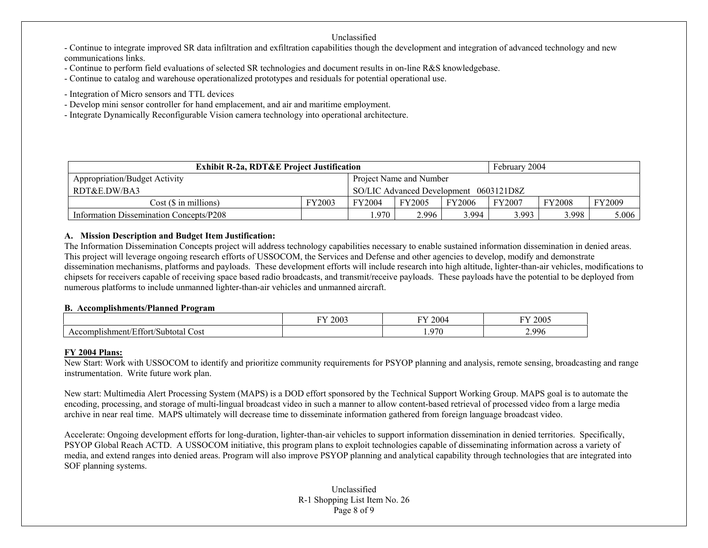- Continue to integrate improved SR data infiltration and exfiltration capabilities though the development and integration of advanced technology and new communications links.

- Continue to perform field evaluations of selected SR technologies and document results in on-line R&S knowledgebase.
- Continue to catalog and warehouse operationalized prototypes and residuals for potential operational use.
- Integration of Micro sensors and TTL devices
- Develop mini sensor controller for hand emplacement, and air and maritime employment.
- Integrate Dynamically Reconfigurable Vision camera technology into operational architecture.

| <b>Exhibit R-2a, RDT&amp;E Project Justification</b>   |        |        |                         |        | February 2004 |               |               |
|--------------------------------------------------------|--------|--------|-------------------------|--------|---------------|---------------|---------------|
| Appropriation/Budget Activity                          |        |        | Project Name and Number |        |               |               |               |
| RDT&E.DW/BA3<br>SO/LIC Advanced Development 0603121D8Z |        |        |                         |        |               |               |               |
| Cost (\$ in millions)                                  | FY2003 | FY2004 | FY2005                  | FY2006 | <b>FY2007</b> | <b>FY2008</b> | <b>FY2009</b> |
| Information Dissemination Concepts/P208                |        | .970   | 2.996                   | 3.994  | 3.993         | 3.998         | 5.006         |

## **A. Mission Description and Budget Item Justification:**

The Information Dissemination Concepts project will address technology capabilities necessary to enable sustained information dissemination in denied areas. This project will leverage ongoing research efforts of USSOCOM, the Services and Defense and other agencies to develop, modify and demonstrate dissemination mechanisms, platforms and payloads. These development efforts will include research into high altitude, lighter-than-air vehicles, modifications to chipsets for receivers capable of receiving space based radio broadcasts, and transmit/receive payloads. These payloads have the potential to be deployed from numerous platforms to include unmanned lighter-than-air vehicles and unmanned aircraft.

## **B. Accomplishments/Planned Program**

|                                                                                              | $-1$<br>2003 | T<br>$200-$ | 2005                    |
|----------------------------------------------------------------------------------------------|--------------|-------------|-------------------------|
| $\sim$<br>Cost<br>ishment/<br>$\sim$ $\sim$ $\sim$ $\sim$<br>'Subtotal<br>tort<br>con<br>nni |              | <u>_070</u> | $^{\circ}$ 996<br>ره سه |

## **FY 2004 Plans:**

New Start: Work with USSOCOM to identify and prioritize community requirements for PSYOP planning and analysis, remote sensing, broadcasting and range instrumentation. Write future work plan.

New start: Multimedia Alert Processing System (MAPS) is a DOD effort sponsored by the Technical Support Working Group. MAPS goal is to automate the encoding, processing, and storage of multi-lingual broadcast video in such a manner to allow content-based retrieval of processed video from a large media archive in near real time. MAPS ultimately will decrease time to disseminate information gathered from foreign language broadcast video.

Accelerate: Ongoing development efforts for long-duration, lighter-than-air vehicles to support information dissemination in denied territories. Specifically, PSYOP Global Reach ACTD. A USSOCOM initiative, this program plans to exploit technologies capable of disseminating information across a variety of media, and extend ranges into denied areas. Program will also improve PSYOP planning and analytical capability through technologies that are integrated into SOF planning systems.